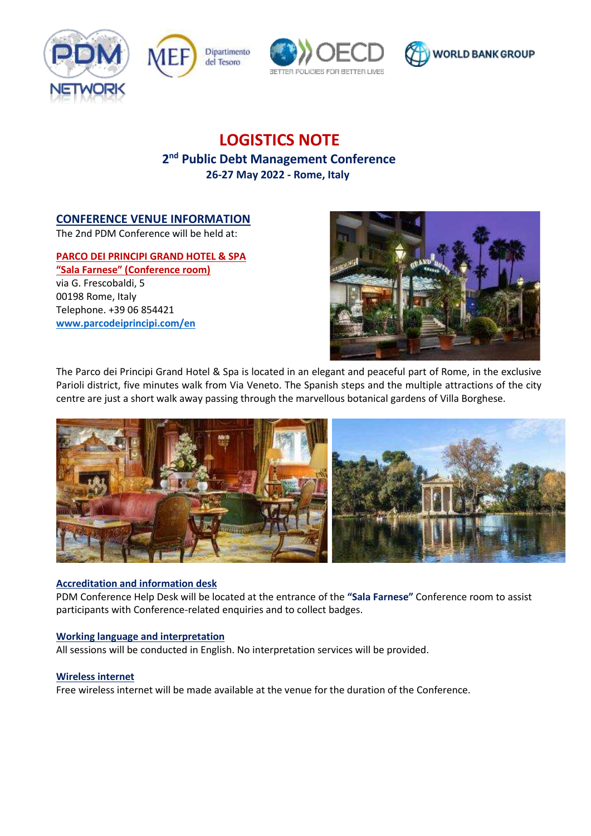







# **LOGISTICS NOTE**

# **2 nd Public Debt Management Conference 26-27 May 2022 - Rome, Italy**

# **CONFERENCE VENUE INFORMATION**

The 2nd PDM Conference will be held at:

## **PARCO DEI PRINCIPI GRAND HOTEL & SPA**

**"Sala Farnese" (Conference room)** via G. Frescobaldi, 5 00198 Rome, Italy Telephone. +39 06 854421 **[www.parcodeiprincipi.com/en](http://www.parcodeiprincipi.com/en)**



The Parco dei Principi Grand Hotel & Spa is located in an elegant and peaceful part of Rome, in the exclusive Parioli district, five minutes walk from Via Veneto. The Spanish steps and the multiple attractions of the city centre are just a short walk away passing through the marvellous botanical gardens of Villa Borghese.



## **Accreditation and information desk**

PDM Conference Help Desk will be located at the entrance of the **"Sala Farnese"** Conference room to assist participants with Conference-related enquiries and to collect badges.

## **Working language and interpretation**

All sessions will be conducted in English. No interpretation services will be provided.

#### **Wireless internet**

Free wireless internet will be made available at the venue for the duration of the Conference.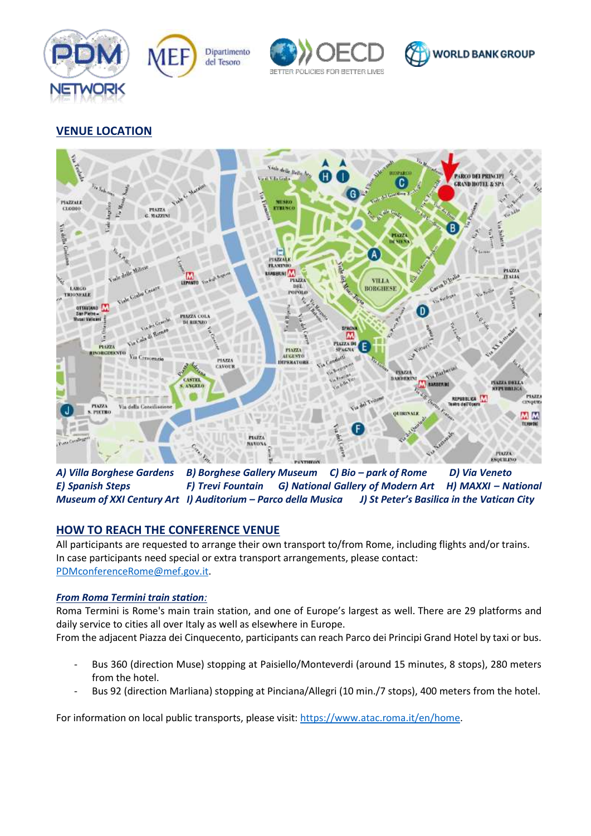







# **VENUE LOCATION**



*A) Villa Borghese Gardens B) Borghese Gallery Museum C) Bio – park of Rome D) Via Veneto E) Spanish Steps* **F) Trevi Fountain G) National Gallery of Modern Art** H) MAXXI – National *Museum of XXI Century Art I) Auditorium – Parco della Musica J) St Peter's Basilica in the Vatican City*

# **HOW TO REACH THE CONFERENCE VENUE**

All participants are requested to arrange their own transport to/from Rome, including flights and/or trains. In case participants need special or extra transport arrangements, please contact: [PDMconferenceRome@mef.gov.it.](mailto:PDMconferenceRome@mef.gov.it)

## *From Roma Termini train station:*

Roma Termini is Rome's main train station, and one of Europe's largest as well. There are 29 platforms and daily service to cities all over Italy as well as elsewhere in Europe.

From the adjacent Piazza dei Cinquecento, participants can reach Parco dei Principi Grand Hotel by taxi or bus.

- Bus 360 (direction Muse) stopping at Paisiello/Monteverdi (around 15 minutes, 8 stops), 280 meters from the hotel.
- Bus 92 (direction Marliana) stopping at Pinciana/Allegri (10 min./7 stops), 400 meters from the hotel.

For information on local public transports, please visit[: https://www.atac.roma.it/en/home.](https://www.atac.roma.it/en/home)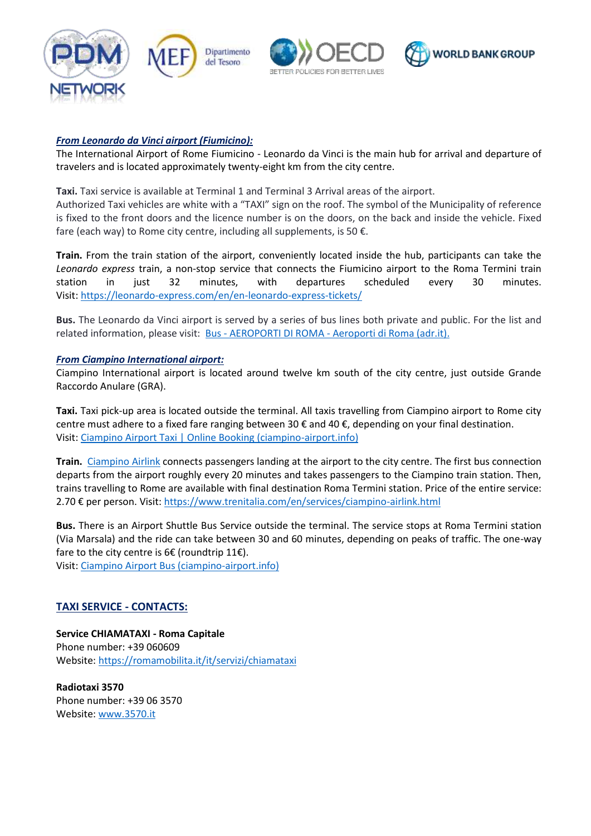

#### *From Leonardo da Vinci airport (Fiumicino):*

The International Airport of Rome Fiumicino - Leonardo da Vinci is the main hub for arrival and departure of travelers and is located approximately twenty-eight km from the city centre.

**Taxi.** Taxi service is available at Terminal 1 and Terminal 3 Arrival areas of the airport.

Authorized Taxi vehicles are white with a "TAXI" sign on the roof. The symbol of the Municipality of reference is fixed to the front doors and the licence number is on the doors, on the back and inside the vehicle. Fixed fare (each way) to Rome city centre, including all supplements, is 50  $\epsilon$ .

**Train.** From the train station of the airport, conveniently located inside the hub, participants can take the *Leonardo express* train, a non-stop service that connects the Fiumicino airport to the Roma Termini train station in just 32 minutes, with departures scheduled every 30 minutes. Visit:<https://leonardo-express.com/en/en-leonardo-express-tickets/>

**Bus.** The Leonardo da Vinci airport is served by a series of bus lines both private and public. For the list and related information, please visit: Bus - AEROPORTI DI ROMA - [Aeroporti di Roma \(adr.it\).](https://www.adr.it/web/aeroporti-di-roma-en/pax-fco-bus)

#### *From Ciampino International airport:*

Ciampino International airport is located around twelve km south of the city centre, just outside Grande Raccordo Anulare (GRA).

**Taxi.** Taxi pick-up area is located outside the terminal. All taxis travelling from Ciampino airport to Rome city centre must adhere to a fixed fare ranging between 30 € and 40 €, depending on your final destination. Visit: [Ciampino Airport Taxi | Online Booking \(ciampino-airport.info\)](https://www.ciampino-airport.info/taxi-transfers.html)

**Train.** [Ciampino Airlink](https://www.trenitalia.com/en/services/ciampino-airlink.html) connects passengers landing at the airport to the city centre. The first bus connection departs from the airport roughly every 20 minutes and takes passengers to the Ciampino train station. Then, trains travelling to Rome are available with final destination Roma Termini station. Price of the entire service: 2.70 € per person. Visit: <https://www.trenitalia.com/en/services/ciampino-airlink.html>

**Bus.** There is an Airport Shuttle Bus Service outside the terminal. The service stops at Roma Termini station (Via Marsala) and the ride can take between 30 and 60 minutes, depending on peaks of traffic. The one-way fare to the city centre is 6€ (roundtrip 11€).

Visit: [Ciampino Airport Bus \(ciampino-airport.info\)](https://www.ciampino-airport.info/bus.html)

## **TAXI SERVICE - CONTACTS:**

**Service CHIAMATAXI - Roma Capitale**  Phone number: +39 060609 Website:<https://romamobilita.it/it/servizi/chiamataxi>

**Radiotaxi 3570**  Phone number: +39 06 3570 Website: [www.3570.it](http://www.3570.it/)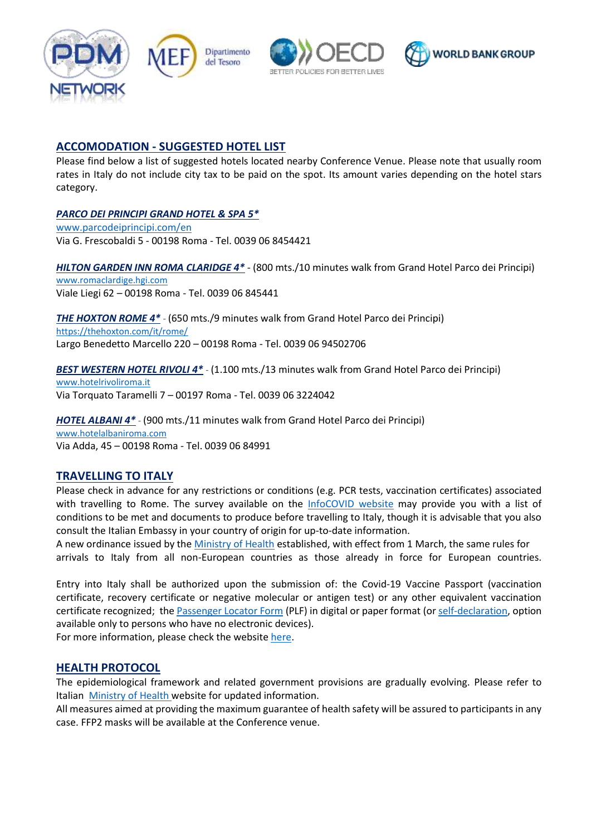







## **ACCOMODATION - SUGGESTED HOTEL LIST**

Please find below a list of suggested hotels located nearby Conference Venue. Please note that usually room rates in Italy do not include city tax to be paid on the spot. Its amount varies depending on the hotel stars category.

## *PARCO DEI PRINCIPI GRAND HOTEL & SPA 5\**

[www.parcodeiprincipi.com/en](http://www.parcodeiprincipi.com/en) Via G. Frescobaldi 5 - 00198 Roma - Tel. 0039 06 8454421

*HILTON GARDEN INN ROMA CLARIDGE 4\** - (800 mts./10 minutes walk from Grand Hotel Parco dei Principi) [www.romaclardige.hgi.com](http://www.romaclardige.hgi.com/) Viale Liegi 62 – 00198 Roma - Tel. 0039 06 845441

*THE HOXTON ROME 4\* -* (650 mts./9 minutes walk from Grand Hotel Parco dei Principi) <https://thehoxton.com/it/rome/> Largo Benedetto Marcello 220 – 00198 Roma - Tel. 0039 06 94502706

*BEST WESTERN HOTEL RIVOLI 4\* -* (1.100 mts./13 minutes walk from Grand Hotel Parco dei Principi) [www.hotelrivoliroma.it](http://www.hotelrivoliroma.it/) Via Torquato Taramelli 7 – 00197 Roma - Tel. 0039 06 3224042

*HOTEL ALBANI 4\* -* (900 mts./11 minutes walk from Grand Hotel Parco dei Principi) [www.hotelalbaniroma.com](http://www.hotelalbaniroma.com/) Via Adda, 45 – 00198 Roma - Tel. 0039 06 84991

## **TRAVELLING TO ITALY**

Please check in advance for any restrictions or conditions (e.g. PCR tests, vaccination certificates) associated with travelling to Rome. The survey available on the [InfoCOVID website](https://infocovid.viaggiaresicuri.it/index_en.html) may provide you with a list of conditions to be met and documents to produce before travelling to Italy, though it is advisable that you also consult the Italian Embassy in your country of origin for up-to-date information.

A new ordinance issued by the [Ministry of Health](https://www.salute.gov.it/portale/nuovocoronavirus/dettaglioContenutiNuovoCoronavirus.jsp?lingua=english&id=5412&area=nuovoCoronavirus&menu=vuoto) established, with effect from 1 March, the same rules for arrivals to Italy from all non-European countries as those already in force for European countries.

Entry into Italy shall be authorized upon the submission of: the Covid-19 Vaccine Passport (vaccination certificate, recovery certificate or negative molecular or antigen test) or any other equivalent vaccination certificate recognized; the [Passenger Locator Form](https://app.euplf.eu/#/) (PLF) in digital or paper format (o[r self-declaration,](https://www.esteri.it/MAE/resource/doc/2021/05/modulo_rientro_sintetico_16_maggio_2021_eng_compilabile.pdf) option available only to persons who have no electronic devices).

For more information, please check the website [here.](https://www.esteri.it/en/ministero/normativaonline/focus-cittadini-italiani-in-rientro-dall-estero-e-cittadini-stranieri-in-italia/)

## **HEALTH PROTOCOL**

The epidemiological framework and related government provisions are gradually evolving. Please refer to Italian [Ministry of Health](https://www.salute.gov.it/portale/nuovocoronavirus/dettaglioContenutiNuovoCoronavirus.jsp?lingua=english&id=5412&area=nuovoCoronavirus&menu=vuoto) website for updated information.

All measures aimed at providing the maximum guarantee of health safety will be assured to participants in any case. FFP2 masks will be available at the Conference venue.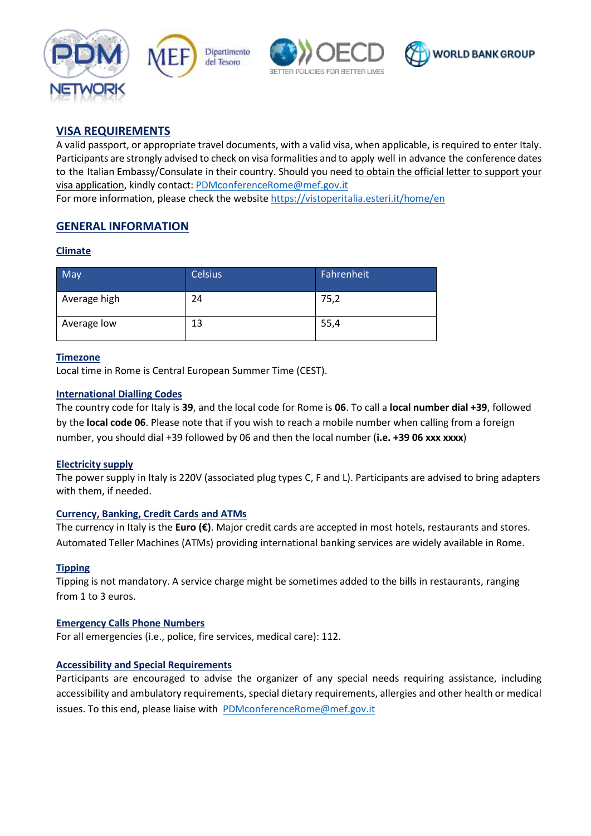





## **VISA REQUIREMENTS**

A valid passport, or appropriate travel documents, with a valid visa, when applicable, is required to enter Italy. Participants are strongly advised to check on visa formalities and to apply well in advance the conference dates to the Italian Embassy/Consulate in their country. Should you need to obtain the official letter to support your visa application, kindly contact: [PDMconferenceRome@mef.gov.it](mailto:PDMconferenceRome@mef.gov.it) For more information, please check the website<https://vistoperitalia.esteri.it/home/en>

# **GENERAL INFORMATION**

#### **Climate**

| May          | <b>Celsius</b> | Fahrenheit |
|--------------|----------------|------------|
| Average high | 24             | 75,2       |
| Average low  | 13             | 55,4       |

#### **Timezone**

Local time in Rome is Central European Summer Time (CEST).

#### **International Dialling Codes**

The country code for Italy is **39**, and the local code for Rome is **06**. To call a **local number dial +39**, followed by the **local code 06**. Please note that if you wish to reach a mobile number when calling from a foreign number, you should dial +39 followed by 06 and then the local number (**i.e. +39 06 xxx xxxx**)

## **Electricity supply**

The power supply in Italy is 220V (associated plug types C, F and L). Participants are advised to bring adapters with them, if needed.

#### **Currency, Banking, Credit Cards and ATMs**

The currency in Italy is the **Euro (€)**. Major credit cards are accepted in most hotels, restaurants and stores. Automated Teller Machines (ATMs) providing international banking services are widely available in Rome.

## **Tipping**

Tipping is not mandatory. A service charge might be sometimes added to the bills in restaurants, ranging from 1 to 3 euros.

#### **Emergency Calls Phone Numbers**

For all emergencies (i.e., police, fire services, medical care): 112.

#### **Accessibility and Special Requirements**

Participants are encouraged to advise the organizer of any special needs requiring assistance, including accessibility and ambulatory requirements, special dietary requirements, allergies and other health or medical issues. To this end, please liaise with PDMconferenceRome@mef.gov.it